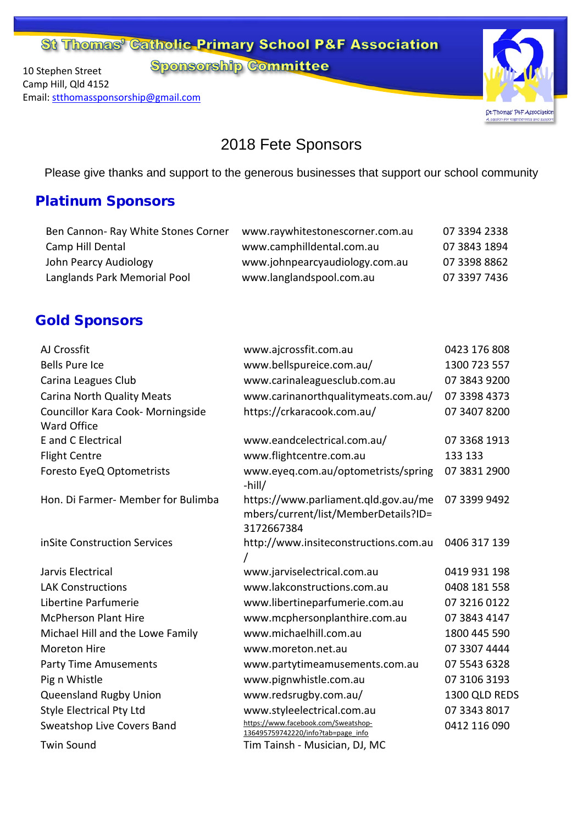St Thomas<sup>9</sup> Catholic Primary School P&F Association

**Sponsorship Committee** 

10 Stephen Street Camp Hill, Qld 4152 Email: [stthomassponsorship@gmail.com](mailto:stthomassponsorship@gmail.com)



2018 Fete Sponsors

Please give thanks and support to the generous businesses that support our school community

### Platinum Sponsors

| Ben Cannon-Ray White Stones Corner | www.raywhitestonescorner.com.au | 07 3394 2338 |
|------------------------------------|---------------------------------|--------------|
| Camp Hill Dental                   | www.camphilldental.com.au       | 07 3843 1894 |
| John Pearcy Audiology              | www.johnpearcyaudiology.com.au  | 07 3398 8862 |
| Langlands Park Memorial Pool       | www.langlandspool.com.au        | 07 3397 7436 |

### Gold Sponsors

| AJ Crossfit                                             | www.ajcrossfit.com.au                                                                      | 0423 176 808  |
|---------------------------------------------------------|--------------------------------------------------------------------------------------------|---------------|
| <b>Bells Pure Ice</b>                                   | www.bellspureice.com.au/                                                                   | 1300 723 557  |
| Carina Leagues Club                                     | www.carinaleaguesclub.com.au                                                               | 07 3843 9200  |
| <b>Carina North Quality Meats</b>                       | www.carinanorthqualitymeats.com.au/                                                        | 07 3398 4373  |
| Councillor Kara Cook- Morningside<br><b>Ward Office</b> | https://crkaracook.com.au/                                                                 | 07 3407 8200  |
| E and C Electrical                                      | www.eandcelectrical.com.au/                                                                | 07 3368 1913  |
| <b>Flight Centre</b>                                    | www.flightcentre.com.au                                                                    | 133 133       |
| Foresto EyeQ Optometrists                               | www.eyeq.com.au/optometrists/spring<br>$-hill/$                                            | 07 3831 2900  |
| Hon. Di Farmer- Member for Bulimba                      | https://www.parliament.qld.gov.au/me<br>mbers/current/list/MemberDetails?ID=<br>3172667384 | 07 3399 9492  |
| inSite Construction Services                            | http://www.insiteconstructions.com.au                                                      | 0406 317 139  |
| Jarvis Electrical                                       | www.jarviselectrical.com.au                                                                | 0419 931 198  |
| <b>LAK Constructions</b>                                | www.lakconstructions.com.au                                                                | 0408 181 558  |
| Libertine Parfumerie                                    | www.libertineparfumerie.com.au                                                             | 07 3216 0122  |
| <b>McPherson Plant Hire</b>                             | www.mcphersonplanthire.com.au                                                              | 07 3843 4147  |
| Michael Hill and the Lowe Family                        | www.michaelhill.com.au                                                                     | 1800 445 590  |
| <b>Moreton Hire</b>                                     | www.moreton.net.au                                                                         | 07 3307 4444  |
| <b>Party Time Amusements</b>                            | www.partytimeamusements.com.au                                                             | 07 5543 6328  |
| Pig n Whistle                                           | www.pignwhistle.com.au                                                                     | 07 3106 3193  |
| Queensland Rugby Union                                  | www.redsrugby.com.au/                                                                      | 1300 QLD REDS |
| <b>Style Electrical Pty Ltd</b>                         | www.styleelectrical.com.au                                                                 | 07 3343 8017  |
| Sweatshop Live Covers Band                              | https://www.facebook.com/Sweatshop-<br>136495759742220/info?tab=page_info                  | 0412 116 090  |
| <b>Twin Sound</b>                                       | Tim Tainsh - Musician, DJ, MC                                                              |               |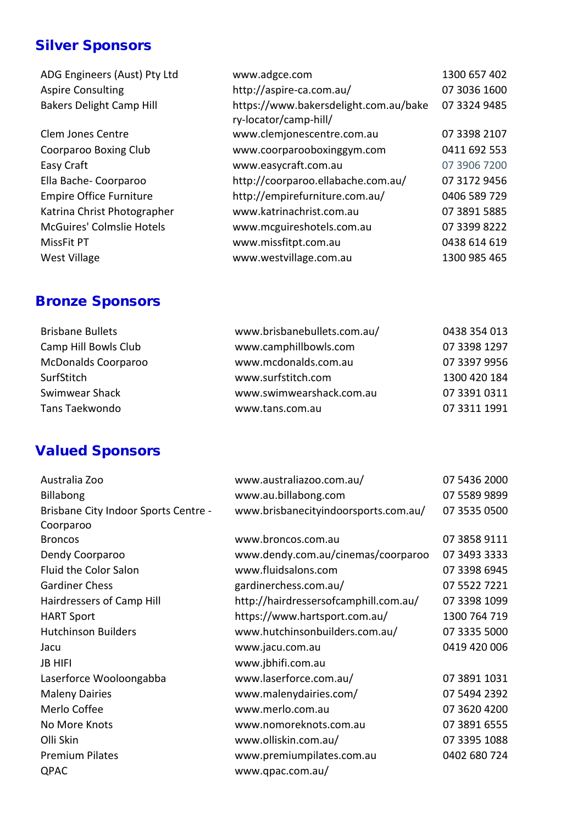## Silver Sponsors

| ADG Engineers (Aust) Pty Ltd     | www.adgce.com                                                  | 1300 657 402 |
|----------------------------------|----------------------------------------------------------------|--------------|
| <b>Aspire Consulting</b>         | http://aspire-ca.com.au/                                       | 07 3036 1600 |
| <b>Bakers Delight Camp Hill</b>  | https://www.bakersdelight.com.au/bake<br>ry-locator/camp-hill/ | 07 3324 9485 |
| Clem Jones Centre                | www.clemjonescentre.com.au                                     | 07 3398 2107 |
| Coorparoo Boxing Club            | www.coorparooboxinggym.com                                     | 0411 692 553 |
| Easy Craft                       | www.easycraft.com.au                                           | 07 3906 7200 |
| Ella Bache-Coorparoo             | http://coorparoo.ellabache.com.au/                             | 07 3172 9456 |
| <b>Empire Office Furniture</b>   | http://empirefurniture.com.au/                                 | 0406 589 729 |
| Katrina Christ Photographer      | www.katrinachrist.com.au                                       | 07 3891 5885 |
| <b>McGuires' Colmslie Hotels</b> | www.mcguireshotels.com.au                                      | 07 3399 8222 |
| MissFit PT                       | www.missfitpt.com.au                                           | 0438 614 619 |
| <b>West Village</b>              | www.westvillage.com.au                                         | 1300 985 465 |
|                                  |                                                                |              |

### Bronze Sponsors

| www.brisbanebullets.com.au/ | 0438 354 013 |
|-----------------------------|--------------|
| www.camphillbowls.com       | 07 3398 1297 |
| www.mcdonalds.com.au        | 07 3397 9956 |
| www.surfstitch.com          | 1300 420 184 |
| www.swimwearshack.com.au    | 07 3391 0311 |
| www.tans.com.au             | 07 3311 1991 |
|                             |              |

# Valued Sponsors

| Australia Zoo                        | www.australiazoo.com.au/              | 07 5436 2000 |
|--------------------------------------|---------------------------------------|--------------|
| <b>Billabong</b>                     | www.au.billabong.com                  | 07 5589 9899 |
| Brisbane City Indoor Sports Centre - | www.brisbanecityindoorsports.com.au/  | 07 3535 0500 |
| Coorparoo                            |                                       |              |
| <b>Broncos</b>                       | www.broncos.com.au                    | 07 3858 9111 |
| Dendy Coorparoo                      | www.dendy.com.au/cinemas/coorparoo    | 07 3493 3333 |
| Fluid the Color Salon                | www.fluidsalons.com                   | 07 3398 6945 |
| <b>Gardiner Chess</b>                | gardinerchess.com.au/                 | 07 5522 7221 |
| Hairdressers of Camp Hill            | http://hairdressersofcamphill.com.au/ | 07 3398 1099 |
| <b>HART Sport</b>                    | https://www.hartsport.com.au/         | 1300 764 719 |
| <b>Hutchinson Builders</b>           | www.hutchinsonbuilders.com.au/        | 07 3335 5000 |
| Jacu                                 | www.jacu.com.au                       | 0419 420 006 |
| <b>JB HIFI</b>                       | www.jbhifi.com.au                     |              |
| Laserforce Wooloongabba              | www.laserforce.com.au/                | 07 3891 1031 |
| <b>Maleny Dairies</b>                | www.malenydairies.com/                | 07 5494 2392 |
| Merlo Coffee                         | www.merlo.com.au                      | 07 3620 4200 |
| No More Knots                        | www.nomoreknots.com.au                | 07 3891 6555 |
| Olli Skin                            | www.olliskin.com.au/                  | 07 3395 1088 |
| <b>Premium Pilates</b>               | www.premiumpilates.com.au             | 0402 680 724 |
| QPAC                                 | www.qpac.com.au/                      |              |
|                                      |                                       |              |